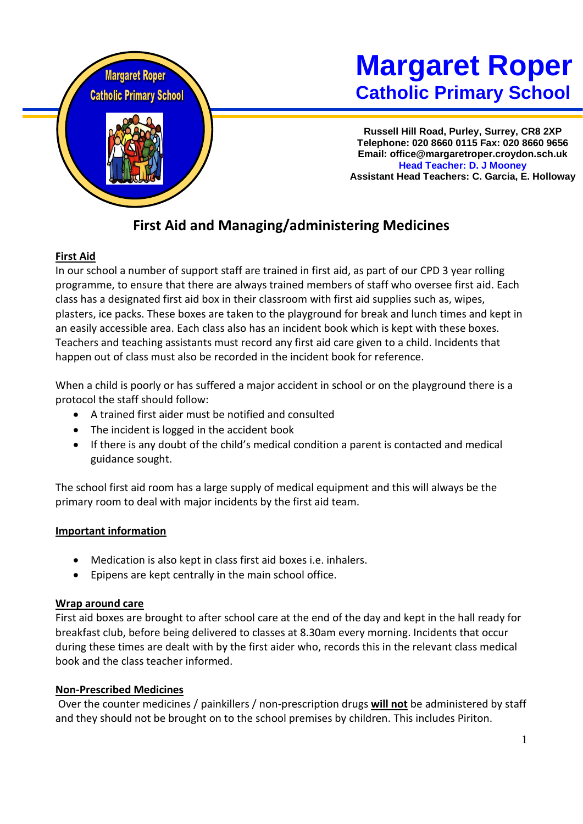

# **Margaret Roper Catholic Primary School**

**Russell Hill Road, Purley, Surrey, CR8 2XP Telephone: 020 8660 0115 Fax: 020 8660 9656 Email: office@margaretroper.croydon.sch.uk Head Teacher: D. J Mooney Assistant Head Teachers: C. Garcia, E. Holloway**

# **First Aid and Managing/administering Medicines**

# **First Aid**

In our school a number of support staff are trained in first aid, as part of our CPD 3 year rolling programme, to ensure that there are always trained members of staff who oversee first aid. Each class has a designated first aid box in their classroom with first aid supplies such as, wipes, plasters, ice packs. These boxes are taken to the playground for break and lunch times and kept in an easily accessible area. Each class also has an incident book which is kept with these boxes. Teachers and teaching assistants must record any first aid care given to a child. Incidents that happen out of class must also be recorded in the incident book for reference.

When a child is poorly or has suffered a major accident in school or on the playground there is a protocol the staff should follow:

- A trained first aider must be notified and consulted
- The incident is logged in the accident book
- If there is any doubt of the child's medical condition a parent is contacted and medical guidance sought.

The school first aid room has a large supply of medical equipment and this will always be the primary room to deal with major incidents by the first aid team.

# **Important information**

- Medication is also kept in class first aid boxes i.e. inhalers.
- Epipens are kept centrally in the main school office.

# **Wrap around care**

First aid boxes are brought to after school care at the end of the day and kept in the hall ready for breakfast club, before being delivered to classes at 8.30am every morning. Incidents that occur during these times are dealt with by the first aider who, records this in the relevant class medical book and the class teacher informed.

# **Non-Prescribed Medicines**

Over the counter medicines / painkillers / non-prescription drugs **will not** be administered by staff and they should not be brought on to the school premises by children. This includes Piriton.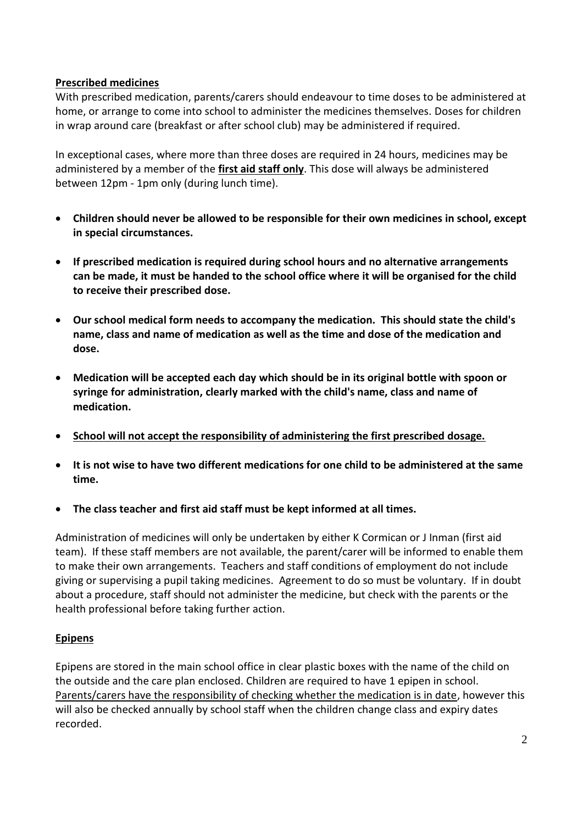# **Prescribed medicines**

With prescribed medication, parents/carers should endeavour to time doses to be administered at home, or arrange to come into school to administer the medicines themselves. Doses for children in wrap around care (breakfast or after school club) may be administered if required.

In exceptional cases, where more than three doses are required in 24 hours, medicines may be administered by a member of the **first aid staff only**. This dose will always be administered between 12pm - 1pm only (during lunch time).

- **Children should never be allowed to be responsible for their own medicines in school, except in special circumstances.**
- **If prescribed medication is required during school hours and no alternative arrangements can be made, it must be handed to the school office where it will be organised for the child to receive their prescribed dose.**
- **Our school medical form needs to accompany the medication. This should state the child's name, class and name of medication as well as the time and dose of the medication and dose.**
- **Medication will be accepted each day which should be in its original bottle with spoon or syringe for administration, clearly marked with the child's name, class and name of medication.**
- **School will not accept the responsibility of administering the first prescribed dosage.**
- **It is not wise to have two different medications for one child to be administered at the same time.**
- **The class teacher and first aid staff must be kept informed at all times.**

Administration of medicines will only be undertaken by either K Cormican or J Inman (first aid team). If these staff members are not available, the parent/carer will be informed to enable them to make their own arrangements. Teachers and staff conditions of employment do not include giving or supervising a pupil taking medicines. Agreement to do so must be voluntary. If in doubt about a procedure, staff should not administer the medicine, but check with the parents or the health professional before taking further action.

# **Epipens**

Epipens are stored in the main school office in clear plastic boxes with the name of the child on the outside and the care plan enclosed. Children are required to have 1 epipen in school. Parents/carers have the responsibility of checking whether the medication is in date, however this will also be checked annually by school staff when the children change class and expiry dates recorded.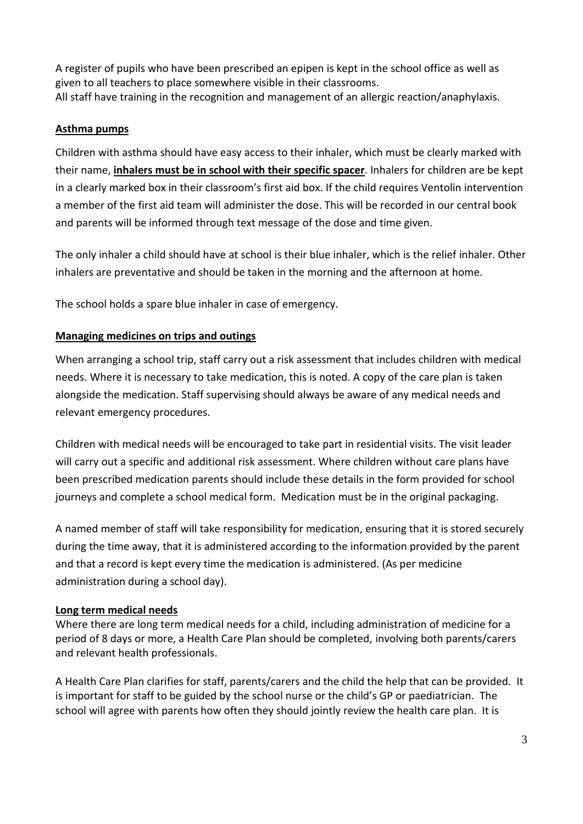A register of pupils who have been prescribed an epipen is kept in the school office as well as given to all teachers to place somewhere visible in their classrooms. All staff have training in the recognition and management of an allergic reaction/anaphylaxis.

#### **Asthma pumps**

Children with asthma should have easy access to their inhaler, which must be clearly marked with their name, **inhalers must be in school with their specific spacer**. Inhalers for children are be kept in a clearly marked box in their classroom's first aid box. If the child requires Ventolin intervention a member of the first aid team will administer the dose. This will be recorded in our central book and parents will be informed through text message of the dose and time given.

The only inhaler a child should have at school is their blue inhaler, which is the relief inhaler. Other inhalers are preventative and should be taken in the morning and the afternoon at home.

The school holds a spare blue inhaler in case of emergency.

#### **Managing medicines on trips and outings**

When arranging a school trip, staff carry out a risk assessment that includes children with medical needs. Where it is necessary to take medication, this is noted. A copy of the care plan is taken alongside the medication. Staff supervising should always be aware of any medical needs and relevant emergency procedures.

Children with medical needs will be encouraged to take part in residential visits. The visit leader will carry out a specific and additional risk assessment. Where children without care plans have been prescribed medication parents should include these details in the form provided for school journeys and complete a school medical form. Medication must be in the original packaging.

A named member of staff will take responsibility for medication, ensuring that it is stored securely during the time away, that it is administered according to the information provided by the parent and that a record is kept every time the medication is administered. (As per medicine administration during a school day).

#### **Long term medical needs**

Where there are long term medical needs for a child, including administration of medicine for a period of 8 days or more, a Health Care Plan should be completed, involving both parents/carers and relevant health professionals.

A Health Care Plan clarifies for staff, parents/carers and the child the help that can be provided. It is important for staff to be guided by the school nurse or the child's GP or paediatrician. The school will agree with parents how often they should jointly review the health care plan. It is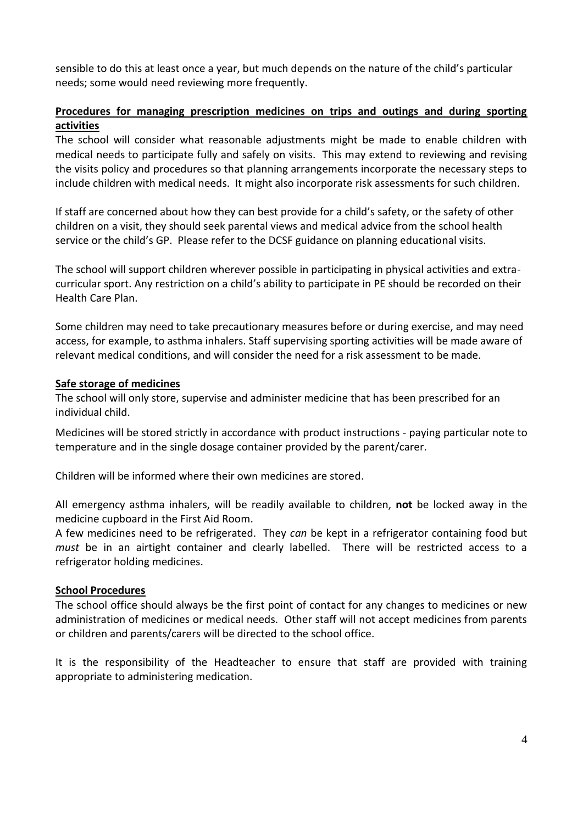sensible to do this at least once a year, but much depends on the nature of the child's particular needs; some would need reviewing more frequently.

#### **Procedures for managing prescription medicines on trips and outings and during sporting activities**

The school will consider what reasonable adjustments might be made to enable children with medical needs to participate fully and safely on visits. This may extend to reviewing and revising the visits policy and procedures so that planning arrangements incorporate the necessary steps to include children with medical needs. It might also incorporate risk assessments for such children.

If staff are concerned about how they can best provide for a child's safety, or the safety of other children on a visit, they should seek parental views and medical advice from the school health service or the child's GP. Please refer to the DCSF guidance on planning educational visits.

The school will support children wherever possible in participating in physical activities and extracurricular sport. Any restriction on a child's ability to participate in PE should be recorded on their Health Care Plan.

Some children may need to take precautionary measures before or during exercise, and may need access, for example, to asthma inhalers. Staff supervising sporting activities will be made aware of relevant medical conditions, and will consider the need for a risk assessment to be made.

#### **Safe storage of medicines**

The school will only store, supervise and administer medicine that has been prescribed for an individual child.

Medicines will be stored strictly in accordance with product instructions - paying particular note to temperature and in the single dosage container provided by the parent/carer.

Children will be informed where their own medicines are stored.

All emergency asthma inhalers, will be readily available to children, **not** be locked away in the medicine cupboard in the First Aid Room.

A few medicines need to be refrigerated. They *can* be kept in a refrigerator containing food but *must* be in an airtight container and clearly labelled. There will be restricted access to a refrigerator holding medicines.

#### **School Procedures**

The school office should always be the first point of contact for any changes to medicines or new administration of medicines or medical needs. Other staff will not accept medicines from parents or children and parents/carers will be directed to the school office.

It is the responsibility of the Headteacher to ensure that staff are provided with training appropriate to administering medication.